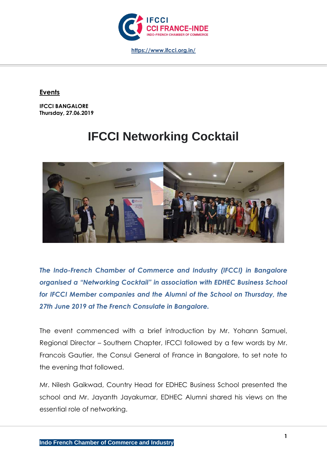

## **Events**

**IFCCI BANGALORE Thursday, 27.06.2019**

## **IFCCI Networking Cocktail**



*The Indo-French Chamber of Commerce and Industry (IFCCI) in Bangalore organised a "Networking Cocktail" in association with EDHEC Business School for IFCCI Member companies and the Alumni of the School on Thursday, the 27th June 2019 at The French Consulate in Bangalore.*

The event commenced with a brief introduction by Mr. Yohann Samuel, Regional Director – Southern Chapter, IFCCI followed by a few words by Mr. Francois Gautier, the Consul General of France in Bangalore, to set note to the evening that followed.

Mr. Nilesh Gaikwad, Country Head for EDHEC Business School presented the school and Mr. Jayanth Jayakumar, EDHEC Alumni shared his views on the essential role of networking.